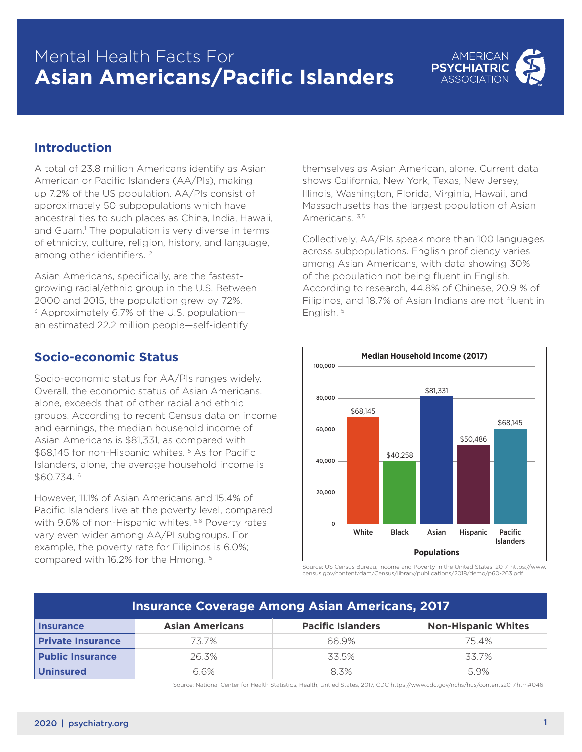# Mental Health Facts For **Asian Americans/Pacific Islanders**



### **Introduction**

A total of 23.8 million Americans identify as Asian American or Pacific Islanders (AA/PIs), making up 7.2% of the US population. AA/PIs consist of approximately 50 subpopulations which have ancestral ties to such places as China, India, Hawaii, and Guam.<sup>1</sup> The population is very diverse in terms of ethnicity, culture, religion, history, and language, among other identifiers.<sup>2</sup>

Asian Americans, specifically, are the fastestgrowing racial/ethnic group in the U.S. Between 2000 and 2015, the population grew by 72%.  $3$  Approximately 6.7% of the U.S. populationan estimated 22.2 million people—self-identify

#### **Socio-economic Status**

Socio-economic status for AA/PIs ranges widely. Overall, the economic status of Asian Americans, alone, exceeds that of other racial and ethnic groups. According to recent Census data on income and earnings, the median household income of Asian Americans is \$81,331, as compared with \$68,145 for non-Hispanic whites. 5 As for Pacific Islanders, alone, the average household income is \$60,734. 6

However, 11.1% of Asian Americans and 15.4% of Pacific Islanders live at the poverty level, compared with 9.6% of non-Hispanic whites. 5,6 Poverty rates vary even wider among AA/PI subgroups. For example, the poverty rate for Filipinos is 6.0%; compared with 16.2% for the Hmong. 5

themselves as Asian American, alone. Current data shows California, New York, Texas, New Jersey, Illinois, Washington, Florida, Virginia, Hawaii, and Massachusetts has the largest population of Asian Americans. 3,5

Collectively, AA/PIs speak more than 100 languages across subpopulations. English proficiency varies among Asian Americans, with data showing 30% of the population not being fluent in English. According to research, 44.8% of Chinese, 20.9 % of Filipinos, and 18.7% of Asian Indians are not fluent in English. 5



Source: US Census Bureau, Income and Poverty in the United States: 2017. https://www. census.gov/content/dam/Census/library/publications/2018/demo/p60-263.pdf

| <b>Insurance Coverage Among Asian Americans, 2017</b> |                        |                          |                            |
|-------------------------------------------------------|------------------------|--------------------------|----------------------------|
| <b>Insurance</b>                                      | <b>Asian Americans</b> | <b>Pacific Islanders</b> | <b>Non-Hispanic Whites</b> |
| <b>Private Insurance</b>                              | 73.7%                  | 66.9%                    | 75.4%                      |
| <b>Public Insurance</b>                               | 26.3%                  | 33.5%                    | 33.7%                      |
| <b>Uninsured</b>                                      | 6.6%                   | 8.3%                     | 5.9%                       |

Source: National Center for Health Statistics, Health, Untied States, 2017, CDC https://www.cdc.gov/nchs/hus/contents2017.htm#046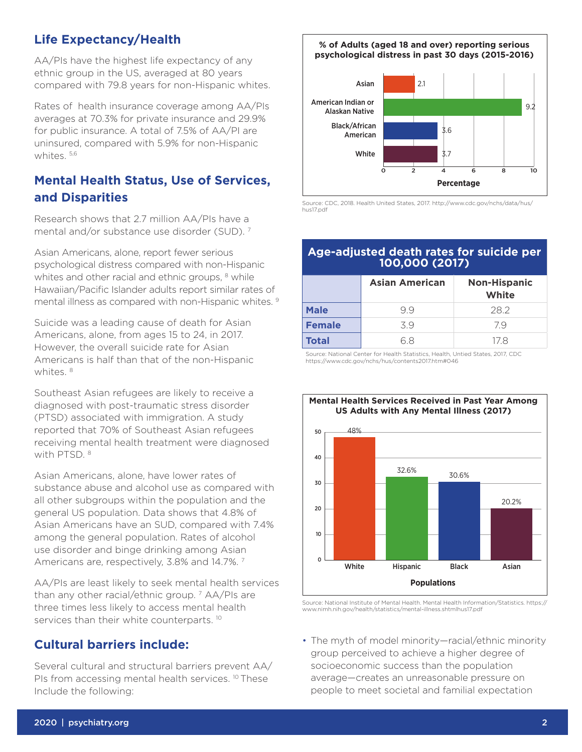# **Life Expectancy/Health**

AA/PIs have the highest life expectancy of any ethnic group in the US, averaged at 80 years compared with 79.8 years for non-Hispanic whites.

Rates of health insurance coverage among AA/PIs averages at 70.3% for private insurance and 29.9% for public insurance. A total of 7.5% of AA/PI are uninsured, compared with 5.9% for non-Hispanic whites. 5,6

# **Mental Health Status, Use of Services, and Disparities**

Research shows that 2.7 million AA/PIs have a mental and/or substance use disorder (SUD). 7

Asian Americans, alone, report fewer serious psychological distress compared with non-Hispanic whites and other racial and ethnic groups, <sup>8</sup> while Hawaiian/Pacific Islander adults report similar rates of mental illness as compared with non-Hispanic whites. 9

Suicide was a leading cause of death for Asian Americans, alone, from ages 15 to 24, in 2017. However, the overall suicide rate for Asian Americans is half than that of the non-Hispanic whites. 8

Southeast Asian refugees are likely to receive a diagnosed with post-traumatic stress disorder (PTSD) associated with immigration. A study reported that 70% of Southeast Asian refugees receiving mental health treatment were diagnosed with PTSD. 8

Asian Americans, alone, have lower rates of substance abuse and alcohol use as compared with all other subgroups within the population and the general US population. Data shows that 4.8% of Asian Americans have an SUD, compared with 7.4% among the general population. Rates of alcohol use disorder and binge drinking among Asian Americans are, respectively, 3.8% and 14.7%. 7

AA/PIs are least likely to seek mental health services than any other racial/ethnic group. 7 AA/PIs are three times less likely to access mental health services than their white counterparts.<sup>10</sup>

# **Cultural barriers include:**

Several cultural and structural barriers prevent AA/ PIs from accessing mental health services.<sup>10</sup> These Include the following:

**% of Adults (aged 18 and over) reporting serious psychological distress in past 30 days (2015-2016)**



Source: CDC, 2018. Health United States, 2017. http://www.cdc.gov/nchs/data/hus/ hus17.pdf

#### **Age-adjusted death rates for suicide per 100,000 (2017)**

|               | <b>Asian American</b> | <b>Non-Hispanic</b><br>White |
|---------------|-----------------------|------------------------------|
| <b>Male</b>   | 99                    | 28.2                         |
| <b>Female</b> | 39                    | 79                           |
| <b>Total</b>  | 68                    | 178                          |

Source: National Center for Health Statistics, Health, Untied States, 2017, CDC https://www.cdc.gov/nchs/hus/contents2017.htm#046



Source: National Institute of Mental Health. Mental Health Information/Statistics. https:// www.nimh.nih.gov/health/statistics/mental-illness.shtmlhus17.pdf

• The myth of model minority—racial/ethnic minority group perceived to achieve a higher degree of socioeconomic success than the population average—creates an unreasonable pressure on people to meet societal and familial expectation